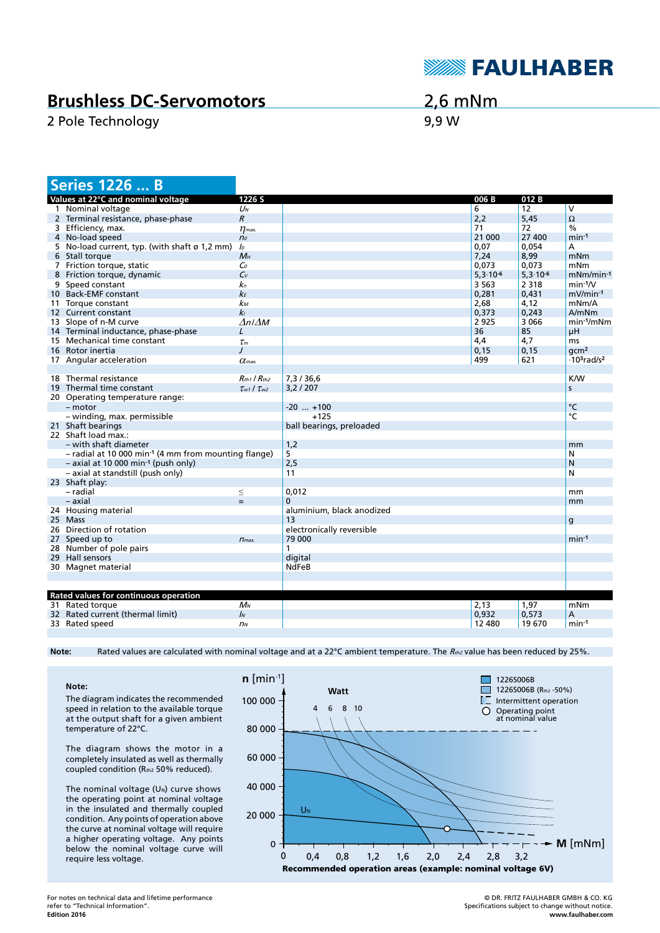

## **Brushless DC-Servomotors**

2 Pole Technology 8,9 W

2,6 mNm

| <b>Series 1226  B</b>                                              |                           |                           |               |               |                           |
|--------------------------------------------------------------------|---------------------------|---------------------------|---------------|---------------|---------------------------|
| Values at 22°C and nominal voltage                                 | 1226 S                    |                           | 006B          | 012B          |                           |
| 1 Nominal voltage                                                  | $U_N$                     |                           | 6             | 12            | V                         |
| 2 Terminal resistance, phase-phase                                 | $\mathcal{R}$             |                           | 2,2           | 5,45          | $\Omega$                  |
| 3 Efficiency, max.                                                 | $\eta$ <sub>max</sub> .   |                           | 71            | 72            | $\frac{0}{0}$             |
| 4 No-load speed                                                    | n <sub>o</sub>            |                           | 21 000        | 27 400        | $min-1$                   |
| 5 No-load current, typ. (with shaft ø 1,2 mm)                      | $\mathcal{L}$             |                           | 0,07          | 0,054         | A                         |
| 6 Stall torque                                                     | $M_H$                     |                           | 7,24          | 8,99          | mNm                       |
| 7 Friction torque, static                                          | $\mathsf{C}$              |                           | 0.073         | 0,073         | mNm                       |
| 8 Friction torque, dynamic                                         | $C_{V}$                   |                           | $5,3.10^{-6}$ | $5,3.10^{-6}$ | $mNm/min-1$               |
| 9 Speed constant                                                   | kп                        |                           | 3 5 6 3       | 2 3 1 8       | $min-1/V$                 |
| 10 Back-EMF constant                                               | $k_F$                     |                           | 0,281         | 0,431         | $mV/min-1$                |
| 11 Torque constant                                                 | kм                        |                           | 2,68          | 4,12          | mNm/A                     |
| 12 Current constant                                                | k <sub>1</sub>            |                           | 0,373         | 0,243         | A/mNm                     |
| 13 Slope of n-M curve                                              | AnIM                      |                           | 2925          | 3 0 6 6       | $min-1/mNm$               |
| 14 Terminal inductance, phase-phase                                | L                         |                           | 36            | 85            | μH                        |
| 15 Mechanical time constant                                        | $\tau_m$                  |                           | 4,4           | 4,7           | <sub>ms</sub>             |
| 16 Rotor inertia                                                   | $\prime$                  |                           | 0, 15         | 0,15          | qcm <sup>2</sup>          |
| 17 Angular acceleration                                            | $\alpha$ <sub>max</sub>   |                           | 499           | 621           | $-103$ rad/s <sup>2</sup> |
|                                                                    |                           |                           |               |               |                           |
| 18 Thermal resistance                                              | $R_{th1}$ / $R_{th2}$     | 7,3/36,6                  |               |               | <b>K/W</b>                |
| 19 Thermal time constant                                           | $\tau_{w1}$ / $\tau_{w2}$ | 3,2/207                   |               |               | S                         |
| 20 Operating temperature range:                                    |                           |                           |               |               |                           |
| $-$ motor                                                          |                           | $-20$ $+100$              |               |               | °C                        |
| - winding, max. permissible                                        |                           | $+125$                    |               |               | °C                        |
| 21 Shaft bearings                                                  |                           | ball bearings, preloaded  |               |               |                           |
| 22 Shaft load max.:                                                |                           |                           |               |               |                           |
| – with shaft diameter                                              |                           | 1,2                       |               |               | mm                        |
| $-$ radial at 10 000 min <sup>-1</sup> (4 mm from mounting flange) |                           | 5                         |               |               | N                         |
| $-$ axial at 10 000 min <sup>-1</sup> (push only)                  |                           | 2,5                       |               |               | N                         |
| - axial at standstill (push only)                                  |                           | 11                        |               |               | N                         |
| 23 Shaft play:                                                     |                           |                           |               |               |                           |
| - radial                                                           |                           | 0,012                     |               |               | mm                        |
| $-$ axial                                                          | $\leq$<br>$\equiv$        | 0                         |               |               |                           |
| 24 Housing material                                                |                           | aluminium, black anodized |               |               | mm                        |
| 25 Mass                                                            |                           | 13                        |               |               |                           |
| 26 Direction of rotation                                           |                           | electronically reversible |               |               | $\mathsf{g}$              |
| 27 Speed up to                                                     | $n_{max.}$                | 79 000                    |               |               | $min-1$                   |
| 28 Number of pole pairs                                            |                           | 1                         |               |               |                           |
| 29 Hall sensors                                                    |                           | digital                   |               |               |                           |
|                                                                    |                           | <b>NdFeB</b>              |               |               |                           |
| 30 Magnet material                                                 |                           |                           |               |               |                           |
|                                                                    |                           |                           |               |               |                           |
| Rated values for continuous operation                              |                           |                           |               |               |                           |
| 31 Rated torque                                                    | $M_N$                     |                           | 2,13          | 1,97          | mNm                       |
| 32 Rated current (thermal limit)                                   | $\mathbf{I}$              |                           | 0,932         |               |                           |
|                                                                    |                           |                           |               | 0,573         | А                         |
| 33 Rated speed                                                     | n <sub>N</sub>            |                           | 12 480        | 19 670        | $min-1$                   |

Note: Rated values are calculated with nominal voltage and at a 22°C ambient temperature. The R<sub>th2</sub> value has been reduced by 25%.

**Note:** The diagram indicates the recommended speed in relation to the available torque at the output shaft for a given ambient temperature of 22°C.

The diagram shows the motor in a completely insulated as well as thermally coupled condition (Rth2 50% reduced).

The nominal voltage  $(U<sub>N</sub>)$  curve shows the operating point at nominal voltage in the insulated and thermally coupled condition. Any points of operation above the curve at nominal voltage will require a higher operating voltage. Any points below the nominal voltage curve will require less voltage.